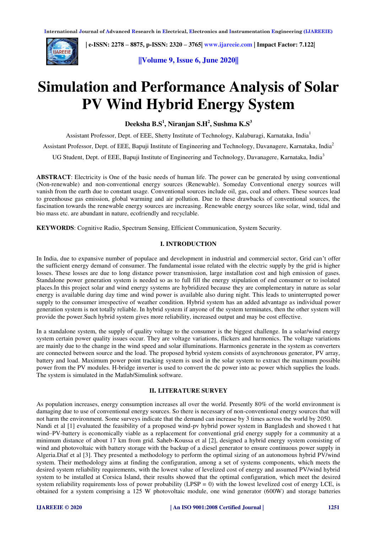

 **| e-ISSN: 2278 – 8875, p-ISSN: 2320 – 3765[| www.ijareeie.com](http://www.ijareeie.com/) | Impact Factor: 7.122|** 

**||Volume 9, Issue 6, June 2020||** 

# **Simulation and Performance Analysis of Solar PV Wind Hybrid Energy System**

**Deeksha B.S<sup>1</sup> , Niranjan S.H<sup>2</sup> , Sushma K.S<sup>3</sup>**

Assistant Professor, Dept. of EEE, Shetty Institute of Technology, Kalaburagi, Karnataka, India<sup>1</sup>

Assistant Professor, Dept. of EEE, Bapuji Institute of Engineering and Technology, Davanagere, Karnataka, India<sup>2</sup>

UG Student, Dept. of EEE, Bapuji Institute of Engineering and Technology, Davanagere, Karnataka, India<sup>3</sup>

**ABSTRACT**: Electricity is One of the basic needs of human life. The power can be generated by using conventional (Non-renewable) and non-conventional energy sources (Renewable). Someday Conventional energy sources will vanish from the earth due to constant usage. Conventional sources include oil, gas, coal and others. These sources lead to greenhouse gas emission, global warming and air pollution. Due to these drawbacks of conventional sources, the fascination towards the renewable energy sources are increasing. Renewable energy sources like solar, wind, tidal and bio mass etc. are abundant in nature, ecofriendly and recyclable.

**KEYWORDS**: Cognitive Radio, Spectrum Sensing, Efficient Communication, System Security.

### **I. INTRODUCTION**

In India, due to expansive number of populace and development in industrial and commercial sector, Grid can't offer the sufficient energy demand of consumer. The fundamental issue related with the electric supply by the grid is higher losses. These losses are due to long distance power transmission, large installation cost and high emission of gases. Standalone power generation system is needed so as to full fill the energy stipulation of end consumer or to isolated places.In this project solar and wind energy systems are hybridized because they are complementary in nature as solar energy is available during day time and wind power is available also during night. This leads to uninterrupted power supply to the consumer irrespective of weather condition. Hybrid system has an added advantage as individual power generation system is not totally reliable. In hybrid system if anyone of the system terminates, then the other system will provide the power.Such hybrid system gives more reliability, increased output and may be cost effective.

In a standalone system, the supply of quality voltage to the consumer is the biggest challenge. In a solar/wind energy system certain power quality issues occur. They are voltage variations, flickers and harmonics. The voltage variations are mainly due to the change in the wind speed and solar illuminations. Harmonics generate in the system as converters are connected between source and the load. The proposed hybrid system consists of asynchronous generator, PV array, battery and load. Maximum power point tracking system is used in the solar system to extract the maximum possible power from the PV modules. H-bridge inverter is used to convert the dc power into ac power which supplies the loads. The system is simulated in the Matlab/Simulink software.

#### **II. LITERATURE SURVEY**

As population increases, energy consumption increases all over the world. Presently 80% of the world environment is damaging due to use of conventional energy sources. So there is necessary of non-conventional energy sources that will not harm the environment. Some surveys indicate that the demand can increase by 3 times across the world by 2050. Nandi et al [1] evaluated the feasibility of a proposed wind-pv hybrid power system in Bangladesh and showed t hat wind–PV-battery is economically viable as a replacement for conventional grid energy supply for a community at a minimum distance of about 17 km from grid. Saheb-Koussa et al [2], designed a hybrid energy system consisting of wind and photovoltaic with battery storage with the backup of a diesel generator to ensure continuous power supply in Algeria.Diaf et al [3]. They presented a methodology to perform the optimal sizing of an autonomous hybrid PV/wind system. Their methodology aims at finding the configuration, among a set of systems components, which meets the desired system reliability requirements, with the lowest value of levelized cost of energy and assumed PV/wind hybrid system to be installed at Corsica Island, their results showed that the optimal configuration, which meet the desired system reliability requirements loss of power probability (LPSP = 0) with the lowest levelized cost of energy LCE, is obtained for a system comprising a 125 W photovoltaic module, one wind generator (600W) and storage batteries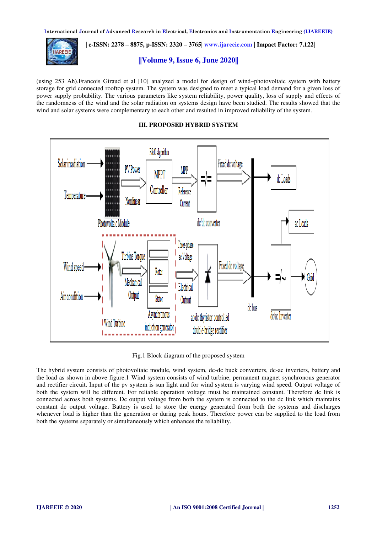

 **| e-ISSN: 2278 – 8875, p-ISSN: 2320 – 3765[| www.ijareeie.com](http://www.ijareeie.com/) | Impact Factor: 7.122|** 

# **||Volume 9, Issue 6, June 2020||**

(using 253 Ah).Francois Giraud et al [10] analyzed a model for design of wind–photovoltaic system with battery storage for grid connected rooftop system. The system was designed to meet a typical load demand for a given loss of power supply probability. The various parameters like system reliability, power quality, loss of supply and effects of the randomness of the wind and the solar radiation on systems design have been studied. The results showed that the wind and solar systems were complementary to each other and resulted in improved reliability of the system.

#### **III. PROPOSED HYBRID SYSTEM**



Fig.1 Block diagram of the proposed system

The hybrid system consists of photovoltaic module, wind system, dc-dc buck converters, dc-ac inverters, battery and the load as shown in above figure.1 Wind system consists of wind turbine, permanent magnet synchronous generator and rectifier circuit. Input of the pv system is sun light and for wind system is varying wind speed. Output voltage of both the system will be different. For reliable operation voltage must be maintained constant. Therefore dc link is connected across both systems. Dc output voltage from both the system is connected to the dc link which maintains constant dc output voltage. Battery is used to store the energy generated from both the systems and discharges whenever load is higher than the generation or during peak hours. Therefore power can be supplied to the load from both the systems separately or simultaneously which enhances the reliability.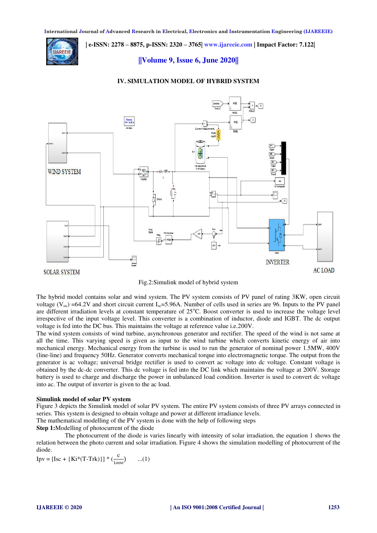**IAREEIE** 

 **| e-ISSN: 2278 – 8875, p-ISSN: 2320 – 3765[| www.ijareeie.com](http://www.ijareeie.com/) | Impact Factor: 7.122|** 

# **||Volume 9, Issue 6, June 2020||**

#### **IV. SIMULATION MODEL OF HYBRID SYSTEM**





The hybrid model contains solar and wind system. The PV system consists of PV panel of rating 3KW, open circuit voltage ( $V_{\text{oc}}$ ) =64.2V and short circuit current I<sub>sc</sub>=5.96A. Number of cells used in series are 96. Inputs to the PV panel are different irradiation levels at constant temperature of  $25^{\circ}$ C. Boost converter is used to increase the voltage level irrespective of the input voltage level. This converter is a combination of inductor, diode and IGBT. The dc output voltage is fed into the DC bus. This maintains the voltage at reference value i.e.200V.

The wind system consists of wind turbine, asynchronous generator and rectifier. The speed of the wind is not same at all the time. This varying speed is given as input to the wind turbine which converts kinetic energy of air into mechanical energy. Mechanical energy from the turbine is used to run the generator of nominal power 1.5MW, 400V (line-line) and frequency 50Hz. Generator converts mechanical torque into electromagnetic torque. The output from the generator is ac voltage; universal bridge rectifier is used to convert ac voltage into dc voltage. Constant voltage is obtained by the dc-dc converter. This dc voltage is fed into the DC link which maintains the voltage at 200V. Storage battery is used to charge and discharge the power in unbalanced load condition. Inverter is used to convert dc voltage into ac. The output of inverter is given to the ac load.

#### **Simulink model of solar PV system**

Figure 3 depicts the Simulink model of solar PV system. The entire PV system consists of three PV arrays connected in series. This system is designed to obtain voltage and power at different irradiance levels.

The mathematical modelling of the PV system is done with the help of following steps

**Step 1:**Modelling of photocurrent of the diode

 The photocurrent of the diode is varies linearly with intensity of solar irradiation, the equation 1 shows the relation between the photo current and solar irradiation. Figure 4 shows the simulation modelling of photocurrent of the diode.

$$
Ipv = [Isc + {Ki*(T-Trk)}] * (\frac{G}{1000}) \qquad ...(1)
$$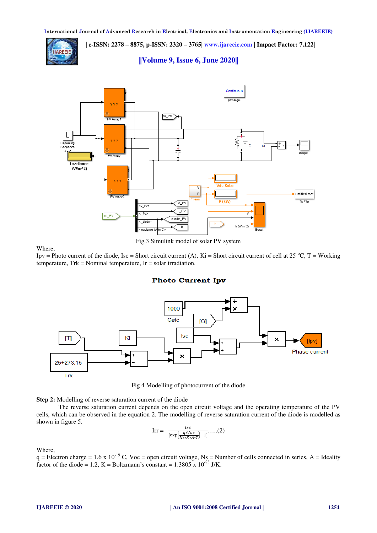**| e-ISSN: 2278 – 8875, p-ISSN: 2320 – 3765[| www.ijareeie.com](http://www.ijareeie.com/) | Impact Factor: 7.122| AREEIE** 

**||Volume 9, Issue 6, June 2020||** 



Fig.3 Simulink model of solar PV system

Where,

Ipv = Photo current of the diode, Isc = Short circuit current (A), Ki = Short circuit current of cell at 25 °C, T = Working temperature, Trk = Nominal temperature, Ir = solar irradiation.

# **Photo Current Ipv**



Fig 4 Modelling of photocurrent of the diode

**Step 2:** Modelling of reverse saturation current of the diode

 The reverse saturation current depends on the open circuit voltage and the operating temperature of the PV cells, which can be observed in the equation 2. The modelling of reverse saturation current of the diode is modelled as shown in figure 5.

$$
\text{Irr} = \frac{Isc}{[\exp\left(\frac{q*Voc}{Ns*K*A*T}\right)-1]}\dots(2)
$$

Where,

 $q =$  Electron charge = 1.6 x 10<sup>-19</sup> C, Voc = open circuit voltage, Ns = Number of cells connected in series, A = Ideality factor of the diode = 1.2, K = Boltzmann's constant =  $1.3805 \times 10^{-23}$  J/K.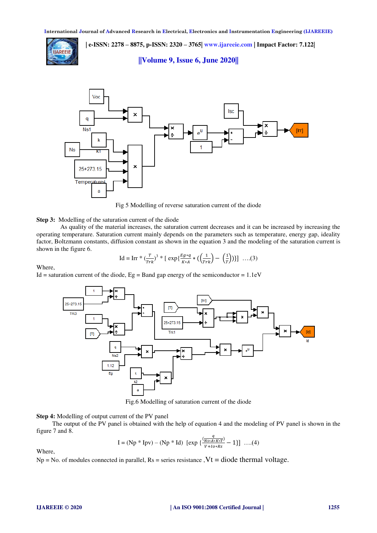

 **| e-ISSN: 2278 – 8875, p-ISSN: 2320 – 3765[| www.ijareeie.com](http://www.ijareeie.com/) | Impact Factor: 7.122|** 

**||Volume 9, Issue 6, June 2020||** 



Fig 5 Modelling of reverse saturation current of the diode

#### **Step 3:** Modelling of the saturation current of the diode

 As quality of the material increases, the saturation current decreases and it can be increased by increasing the operating temperature. Saturation current mainly depends on the parameters such as temperature, energy gap, ideality factor, Boltzmann constants, diffusion constant as shown in the equation 3 and the modeling of the saturation current is shown in the figure 6.

$$
\text{Id} = \text{Irr} \cdot (\frac{T}{Tr k})^3 \cdot [\exp\{\frac{E g * q}{K * A} * (\left(\frac{1}{Tr k}\right) - \left(\frac{1}{T}\right))\}]\ \dots (3)
$$

Where,

Id = saturation current of the diode,  $Eg = Band$  gap energy of the semiconductor = 1.1eV



Fig.6 Modelling of saturation current of the diode

#### **Step 4:** Modelling of output current of the PV panel

 The output of the PV panel is obtained with the help of equation 4 and the modeling of PV panel is shown in the figure 7 and 8.

$$
I = (Np * Ipv) - (Np * Id) [\exp \{ \frac{q}{N^{s} + 4 \cdot K^{s} T^{0}} - 1 \}] \dots (4)
$$

Where,

 $Np = No$ . of modules connected in parallel,  $Rs =$  series resistance ,  $Vt = diode$  thermal voltage.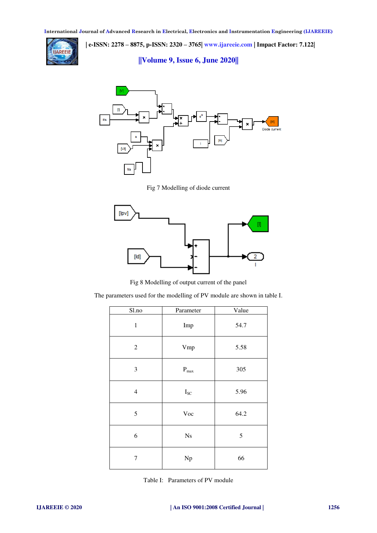

 **| e-ISSN: 2278 – 8875, p-ISSN: 2320 – 3765[| www.ijareeie.com](http://www.ijareeie.com/) | Impact Factor: 7.122|** 

**||Volume 9, Issue 6, June 2020||** 



Fig 7 Modelling of diode current



Fig 8 Modelling of output current of the panel

The parameters used for the modelling of PV module are shown in table I.

| S1.no            | Parameter                | Value      |
|------------------|--------------------------|------------|
| $\mathbf{1}$     | Imp                      | 54.7       |
| $\overline{2}$   | Vmp                      | 5.58       |
| 3                | $\mathbf{P}_{max}$       | 305        |
| $\overline{4}$   | $\mathbf{I}_{\text{SC}}$ | 5.96       |
| 5                | Voc                      | 64.2       |
| 6                | Ns                       | $\sqrt{5}$ |
| $\boldsymbol{7}$ | Np                       | 66         |

Table I: Parameters of PV module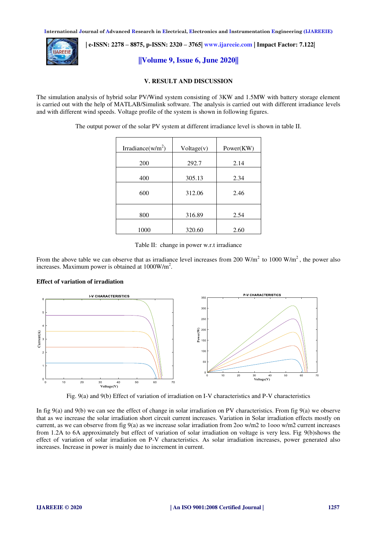

 **| e-ISSN: 2278 – 8875, p-ISSN: 2320 – 3765[| www.ijareeie.com](http://www.ijareeie.com/) | Impact Factor: 7.122|** 

**||Volume 9, Issue 6, June 2020||** 

#### **V. RESULT AND DISCUSSION**

The simulation analysis of hybrid solar PV/Wind system consisting of 3KW and 1.5MW with battery storage element is carried out with the help of MATLAB/Simulink software. The analysis is carried out with different irradiance levels and with different wind speeds. Voltage profile of the system is shown in following figures.

The output power of the solar PV system at different irradiance level is shown in table II.

| Irradiance( $w/m^2$ ) | Voltage(v) | Power(KW) |
|-----------------------|------------|-----------|
| 200                   | 292.7      | 2.14      |
| 400                   | 305.13     | 2.34      |
| 600                   | 312.06     | 2.46      |
| 800                   | 316.89     | 2.54      |
| 1000                  | 320.60     | 2.60      |

Table II: change in power w.r.t irradiance

From the above table we can observe that as irradiance level increases from 200 W/m<sup>2</sup> to 1000 W/m<sup>2</sup>, the power also increases. Maximum power is obtained at  $1000$ W/m<sup>2</sup>.

#### **Effect of variation of irradiation**



Fig. 9(a) and 9(b) Effect of variation of irradiation on I-V characteristics and P-V characteristics

In fig 9(a) and 9(b) we can see the effect of change in solar irradiation on PV characteristics. From fig 9(a) we observe that as we increase the solar irradiation short circuit current increases. Variation in Solar irradiation effects mostly on current, as we can observe from fig 9(a) as we increase solar irradiation from 2oo w/m2 to 1ooo w/m2 current increases from 1.2A to 6A approximately but effect of variation of solar irradiation on voltage is very less. Fig 9(b)shows the effect of variation of solar irradiation on P-V characteristics. As solar irradiation increases, power generated also increases. Increase in power is mainly due to increment in current.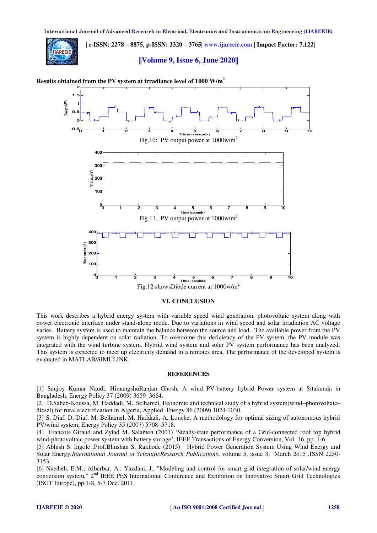**| e-ISSN: 2278 – 8875, p-ISSN: 2320 – 3765[| www.ijareeie.com](http://www.ijareeie.com/) | Impact Factor: 7.122| AREEIE** 

#### **||Volume 9, Issue 6, June 2020||**





#### **VI. CONCLUSION**

This work describes a hybrid energy system with variable speed wind generation, photovoltaic system along with power electronic interface under stand-alone mode. Due to variations in wind speed and solar irradiation AC voltage varies. Battery system is used to maintain the balance between the source and load. The available power from the PV system is highly dependent on solar radiation. To overcome this deficiency of the PV system, the PV module was integrated with the wind turbine system. Hybrid wind system and solar PV system performance has been analyzed. This system is expected to meet up electricity demand in a remotes area. The performance of the developed system is evaluated in MATLAB/SIMULINK.

#### **REFERENCES**

[1] Sanjoy Kumar Nandi, HimangshuRanjan Ghosh, A wind–PV-battery hybrid Power system at Sitakunda in Bangladesh, Energy Policy 37 (2009) 3659–3664.

[2] D.Saheb-Koussa, M. Haddadi, M. Belhamel, Economic and technical study of a hybrid system(wind–photovoltaic– diesel) for rural electrification in Algeria, Applied Energy 86 (2009) 1024-1030.

[3] S. Diaf, D. Diaf, M. Belhamel, M. Haddadi, A. Louche, A methodology for optimal sizing of autonomous hybrid PV/wind system, Energy Policy 35 (2007) 5708–5718.

[4] Francois Giraud and Zyiad M. Salameh (2001) 'Steady-state performance of a Grid-connected roof top hybrid wind-photovoltaic power system with battery storage', IEEE Transactions of Energy Conversion, Vol. 16, pp. 1-6.

[5] Abhish S. Ingole ,Prof.Bhushan S. Rakhode (2015) Hybrid Power Generation System Using Wind Energy and Solar Energy,*International Journal of ScientificResearch Publications*, volume 5, issue 3, March 2o15 ,ISSN 2250- 3153.

[6] Natsheh, E.M.; Albarbar, A.; Yazdani, J., "Modeling and control for smart grid integration of solar/wind energy conversion system," 2<sup>nd</sup> IEEE PES International Conference and Exhibition on Innovative Smart Grid Technologies (ISGT Europe), pp.1-8, 5-7 Dec. 2011.